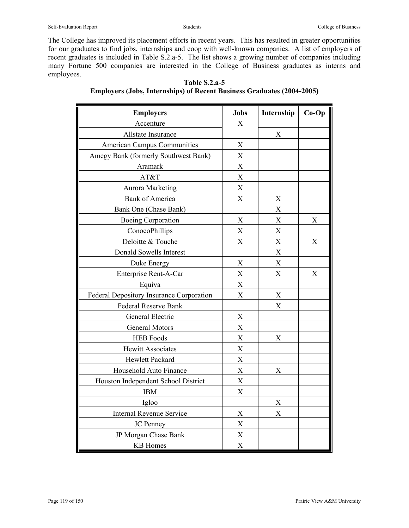The College has improved its placement efforts in recent years. This has resulted in greater opportunities for our graduates to find jobs, internships and coop with well-known companies. A list of employers of recent graduates is included in Table S.2.a-5. The list shows a growing number of companies including many Fortune 500 companies are interested in the College of Business graduates as interns and employees.

| <b>Employers</b>                         | <b>Jobs</b>               | Internship                | $Co-Op$                   |
|------------------------------------------|---------------------------|---------------------------|---------------------------|
| Accenture                                | X                         |                           |                           |
| Allstate Insurance                       |                           | X                         |                           |
| <b>American Campus Communities</b>       | X                         |                           |                           |
| Amegy Bank (formerly Southwest Bank)     | $\mathbf X$               |                           |                           |
| Aramark                                  | X                         |                           |                           |
| AT&T                                     | $\overline{X}$            |                           |                           |
| <b>Aurora Marketing</b>                  | $\overline{X}$            |                           |                           |
| <b>Bank of America</b>                   | $\boldsymbol{\mathrm{X}}$ | X                         |                           |
| Bank One (Chase Bank)                    |                           | $\boldsymbol{\mathrm{X}}$ |                           |
| <b>Boeing Corporation</b>                | $\boldsymbol{\mathrm{X}}$ | $\mathbf X$               | X                         |
| ConocoPhillips                           | $\bar{X}$                 | X                         |                           |
| Deloitte & Touche                        | X                         | X                         | $\boldsymbol{\mathrm{X}}$ |
| Donald Sowells Interest                  |                           | $\boldsymbol{\mathrm{X}}$ |                           |
| Duke Energy                              | $\mathbf X$               | $\boldsymbol{\mathrm{X}}$ |                           |
| Enterprise Rent-A-Car                    | $\overline{X}$            | $\mathbf X$               | X                         |
| Equiva                                   | X                         |                           |                           |
| Federal Depository Insurance Corporation | $\boldsymbol{\mathrm{X}}$ | X                         |                           |
| Federal Reserve Bank                     |                           | $\mathbf X$               |                           |
| General Electric                         | $\boldsymbol{\mathrm{X}}$ |                           |                           |
| <b>General Motors</b>                    | $\boldsymbol{X}$          |                           |                           |
| <b>HEB</b> Foods                         | $\mathbf X$               | X                         |                           |
| <b>Hewitt Associates</b>                 | $\overline{X}$            |                           |                           |
| Hewlett Packard                          | X                         |                           |                           |
| Household Auto Finance                   | X                         | X                         |                           |
| Houston Independent School District      | $\boldsymbol{\mathrm{X}}$ |                           |                           |
| <b>IBM</b>                               | $\mathbf X$               |                           |                           |
| Igloo                                    |                           | X                         |                           |
| <b>Internal Revenue Service</b>          | $\mathbf X$               | X                         |                           |
| JC Penney                                | $\mathbf X$               |                           |                           |
| JP Morgan Chase Bank                     | X                         |                           |                           |
| <b>KB</b> Homes                          | $\overline{X}$            |                           |                           |

## **Table S.2.a-5 Employers (Jobs, Internships) of Recent Business Graduates (2004-2005)**